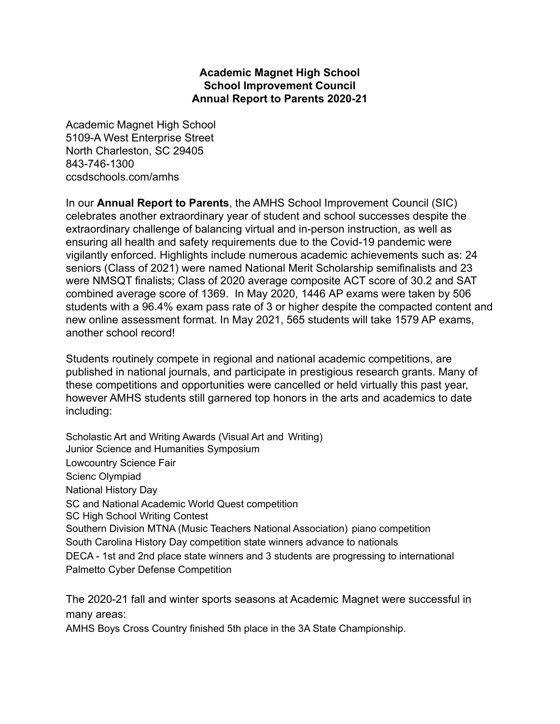## **Academic Magnet High School School Improvement Council Annual Report to Parents 2020-21**

Academic Magnet High School 5109-A West Enterprise Street North Charleston, SC 29405 843-746-1300 ccsdschools.com/amhs

In our **Annual Report to Parents**, the AMHS School Improvement Council (SIC) celebrates another extraordinary year of student and school successes despite the extraordinary challenge of balancing virtual and in-person instruction, as well as ensuring all health and safety requirements due to the Covid-19 pandemic were vigilantly enforced. Highlights include numerous academic achievements such as: 24 seniors (Class of 2021) were named National Merit Scholarship semifinalists and 23 were NMSQT finalists; Class of 2020 average composite ACT score of 30.2 and SAT combined average score of 1369. In May 2020, 1446 AP exams were taken by 506 students with a 96.4% exam pass rate of 3 or higher despite the compacted content and new online assessment format. In May 2021, 565 students will take 1579 AP exams, another school record!

Students routinely compete in regional and national academic competitions, are published in national journals, and participate in prestigious research grants. Many of these competitions and opportunities were cancelled or held virtually this past year, however AMHS students still garnered top honors in the arts and academics to date including:

Scholastic Art and Writing Awards (Visual Art and Writing) Junior Science and Humanities Symposium Lowcountry Science Fair Scienc Olympiad National History Day SC and National Academic World Quest competition SC High School Writing Contest Southern Division MTNA (Music Teachers National Association) piano competition South Carolina History Day competition state winners advance to nationals DECA - 1st and 2nd place state winners and 3 students are progressing to international Palmetto Cyber Defense Competition

The 2020-21 fall and winter sports seasons at Academic Magnet were successful in many areas:

AMHS Boys Cross Country finished 5th place in the 3A State Championship.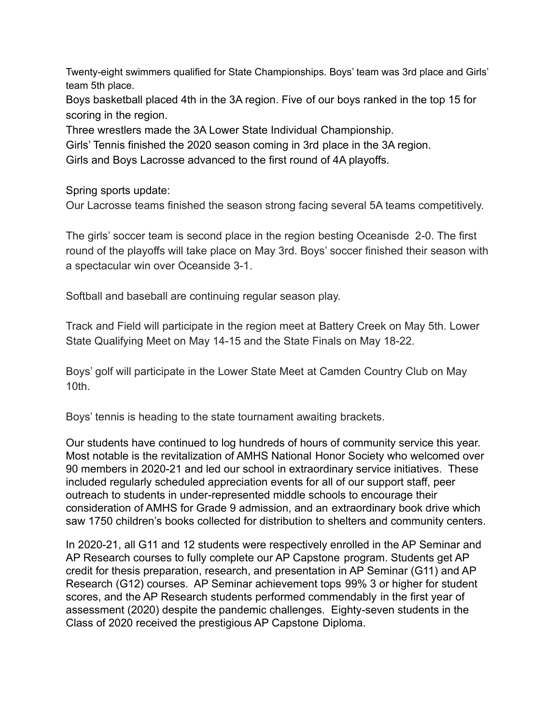Twenty-eight swimmers qualified for State Championships. Boys' team was 3rd place and Girls' team 5th place.

Boys basketball placed 4th in the 3A region. Five of our boys ranked in the top 15 for scoring in the region.

Three wrestlers made the 3A Lower State Individual Championship.

Girls' Tennis finished the 2020 season coming in 3rd place in the 3A region.

Girls and Boys Lacrosse advanced to the first round of 4A playoffs.

Spring sports update:

Our Lacrosse teams finished the season strong facing several 5A teams competitively.

The girls' soccer team is second place in the region besting Oceanisde 2-0. The first round of the playoffs will take place on May 3rd. Boys' soccer finished their season with a spectacular win over Oceanside 3-1.

Softball and baseball are continuing regular season play.

Track and Field will participate in the region meet at Battery Creek on May 5th. Lower State Qualifying Meet on May 14-15 and the State Finals on May 18-22.

Boys' golf will participate in the Lower State Meet at Camden Country Club on May 10th.

Boys' tennis is heading to the state tournament awaiting brackets.

Our students have continued to log hundreds of hours of community service this year. Most notable is the revitalization of AMHS National Honor Society who welcomed over 90 members in 2020-21 and led our school in extraordinary service initiatives. These included regularly scheduled appreciation events for all of our support staff, peer outreach to students in under-represented middle schools to encourage their consideration of AMHS for Grade 9 admission, and an extraordinary book drive which saw 1750 children's books collected for distribution to shelters and community centers.

In 2020-21, all G11 and 12 students were respectively enrolled in the AP Seminar and AP Research courses to fully complete our AP Capstone program. Students get AP credit for thesis preparation, research, and presentation in AP Seminar (G11) and AP Research (G12) courses. AP Seminar achievement tops 99% 3 or higher for student scores, and the AP Research students performed commendably in the first year of assessment (2020) despite the pandemic challenges. Eighty-seven students in the Class of 2020 received the prestigious AP Capstone Diploma.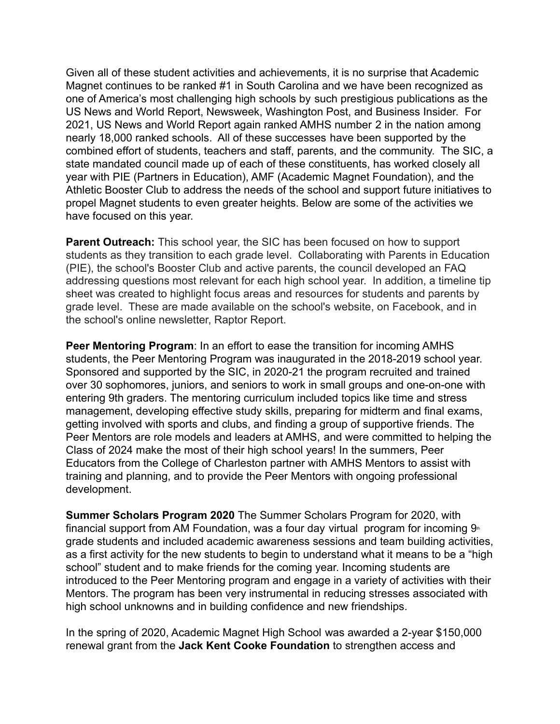Given all of these student activities and achievements, it is no surprise that Academic Magnet continues to be ranked #1 in South Carolina and we have been recognized as one of America's most challenging high schools by such prestigious publications as the US News and World Report, Newsweek, Washington Post, and Business Insider. For 2021, US News and World Report again ranked AMHS number 2 in the nation among nearly 18,000 ranked schools. All of these successes have been supported by the combined effort of students, teachers and staff, parents, and the community. The SIC, a state mandated council made up of each of these constituents, has worked closely all year with PIE (Partners in Education), AMF (Academic Magnet Foundation), and the Athletic Booster Club to address the needs of the school and support future initiatives to propel Magnet students to even greater heights. Below are some of the activities we have focused on this year.

**Parent Outreach:** This school year, the SIC has been focused on how to support students as they transition to each grade level. Collaborating with Parents in Education (PIE), the school's Booster Club and active parents, the council developed an FAQ addressing questions most relevant for each high school year. In addition, a timeline tip sheet was created to highlight focus areas and resources for students and parents by grade level. These are made available on the school's website, on Facebook, and in the school's online newsletter, Raptor Report.

**Peer Mentoring Program**: In an effort to ease the transition for incoming AMHS students, the Peer Mentoring Program was inaugurated in the 2018-2019 school year. Sponsored and supported by the SIC, in 2020-21 the program recruited and trained over 30 sophomores, juniors, and seniors to work in small groups and one-on-one with entering 9th graders. The mentoring curriculum included topics like time and stress management, developing effective study skills, preparing for midterm and final exams, getting involved with sports and clubs, and finding a group of supportive friends. The Peer Mentors are role models and leaders at AMHS, and were committed to helping the Class of 2024 make the most of their high school years! In the summers, Peer Educators from the College of Charleston partner with AMHS Mentors to assist with training and planning, and to provide the Peer Mentors with ongoing professional development.

**Summer Scholars Program 2020** The Summer Scholars Program for 2020, with financial support from AM Foundation, was a four day virtual program for incoming  $9<sup>th</sup>$ grade students and included academic awareness sessions and team building activities, as a first activity for the new students to begin to understand what it means to be a "high school" student and to make friends for the coming year. Incoming students are introduced to the Peer Mentoring program and engage in a variety of activities with their Mentors. The program has been very instrumental in reducing stresses associated with high school unknowns and in building confidence and new friendships.

In the spring of 2020, Academic Magnet High School was awarded a 2-year \$150,000 renewal grant from the **Jack Kent Cooke Foundation** to strengthen access and